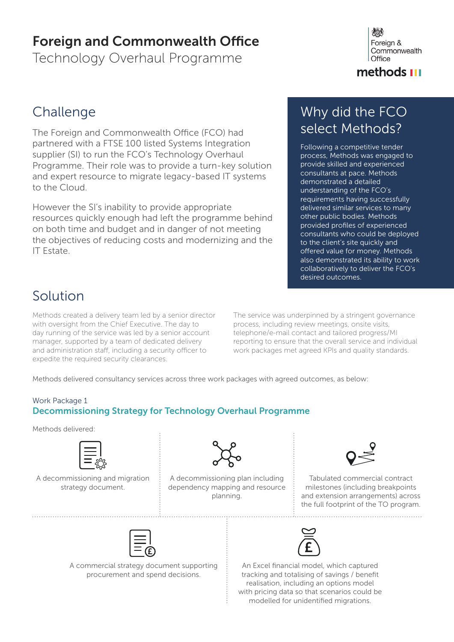### Foreign and Commonwealth Office

Technology Overhaul Programme



### methods **III**

### **Challenge**

The Foreign and Commonwealth Office (FCO) had partnered with a FTSE 100 listed Systems Integration supplier (SI) to run the FCO's Technology Overhaul Programme. Their role was to provide a turn-key solution and expert resource to migrate legacy-based IT systems to the Cloud.

However the SI's inability to provide appropriate resources quickly enough had left the programme behind on both time and budget and in danger of not meeting the objectives of reducing costs and modernizing and the IT Estate.

### Why did the FCO select Methods?

Following a competitive tender process, Methods was engaged to provide skilled and experienced consultants at pace. Methods demonstrated a detailed understanding of the FCO's requirements having successfully delivered similar services to many other public bodies. Methods provided profiles of experienced consultants who could be deployed to the client's site quickly and offered value for money. Methods also demonstrated its ability to work collaboratively to deliver the FCO's desired outcomes.

### Solution

Methods created a delivery team led by a senior director with oversight from the Chief Executive. The day to day running of the service was led by a senior account manager, supported by a team of dedicated delivery and administration staff, including a security officer to expedite the required security clearances.

The service was underpinned by a stringent governance process, including review meetings, onsite visits, telephone/e-mail contact and tailored progress/MI reporting to ensure that the overall service and individual work packages met agreed KPIs and quality standards.

Methods delivered consultancy services across three work packages with agreed outcomes, as below:

#### Work Package 1 Decommissioning Strategy for Technology Overhaul Programme

Methods delivered:



A decommissioning and migration strategy document.



A decommissioning plan including dependency mapping and resource planning.



Tabulated commercial contract milestones (including breakpoints and extension arrangements) across the full footprint of the TO program.

A commercial strategy document supporting procurement and spend decisions.



An Excel financial model, which captured tracking and totalising of savings / benefit realisation, including an options model with pricing data so that scenarios could be modelled for unidentified migrations.